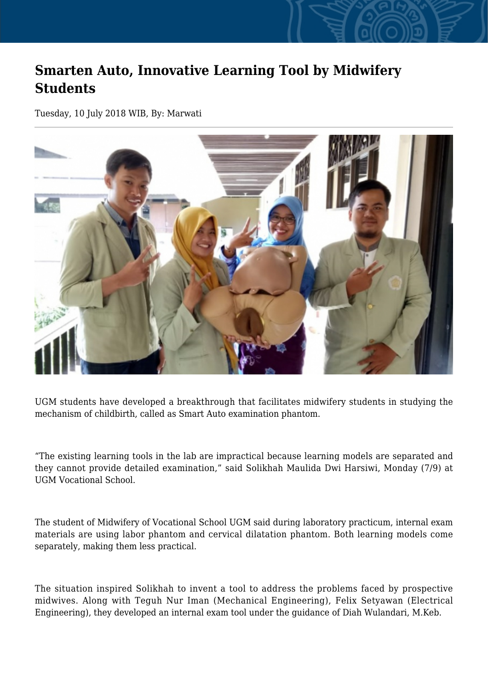## **Smarten Auto, Innovative Learning Tool by Midwifery Students**

Tuesday, 10 July 2018 WIB, By: Marwati



UGM students have developed a breakthrough that facilitates midwifery students in studying the mechanism of childbirth, called as Smart Auto examination phantom.

"The existing learning tools in the lab are impractical because learning models are separated and they cannot provide detailed examination," said Solikhah Maulida Dwi Harsiwi, Monday (7/9) at UGM Vocational School.

The student of Midwifery of Vocational School UGM said during laboratory practicum, internal exam materials are using labor phantom and cervical dilatation phantom. Both learning models come separately, making them less practical.

The situation inspired Solikhah to invent a tool to address the problems faced by prospective midwives. Along with Teguh Nur Iman (Mechanical Engineering), Felix Setyawan (Electrical Engineering), they developed an internal exam tool under the guidance of Diah Wulandari, M.Keb.